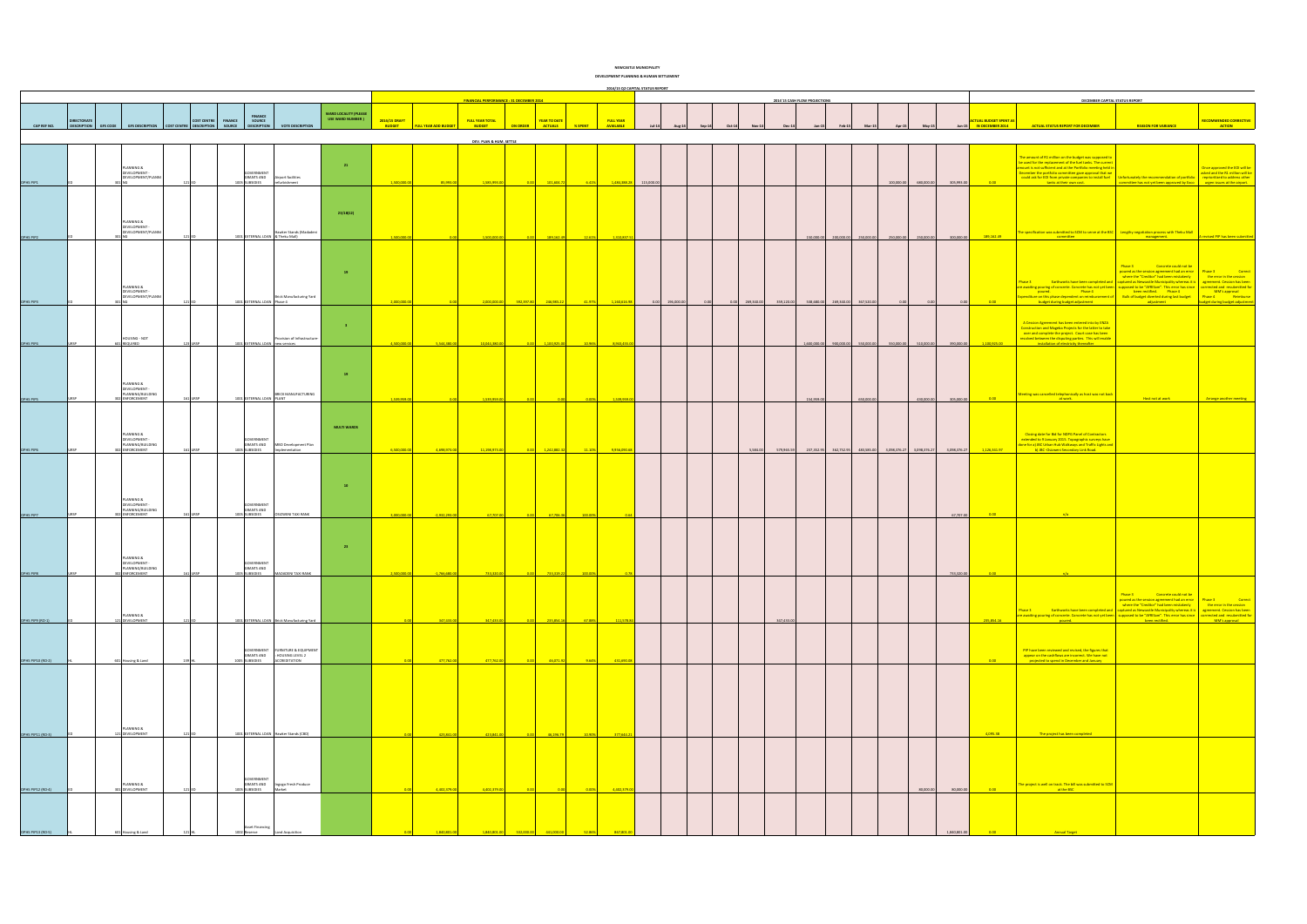|                          |                   |                                                  |                                                                                 |                                            |                                                                  |                                                   |               |                             |                                                |                     |                      | DEVELOPMENT PLANNING & HUMAN SETTLEMENT |           |                          |                               |                                  |            |                                      |            |              |                               |                                                                                                                                                                                                                                     |                                                                                                                                                                    |                                                                   |
|--------------------------|-------------------|--------------------------------------------------|---------------------------------------------------------------------------------|--------------------------------------------|------------------------------------------------------------------|---------------------------------------------------|---------------|-----------------------------|------------------------------------------------|---------------------|----------------------|-----------------------------------------|-----------|--------------------------|-------------------------------|----------------------------------|------------|--------------------------------------|------------|--------------|-------------------------------|-------------------------------------------------------------------------------------------------------------------------------------------------------------------------------------------------------------------------------------|--------------------------------------------------------------------------------------------------------------------------------------------------------------------|-------------------------------------------------------------------|
|                          |                   |                                                  |                                                                                 |                                            |                                                                  |                                                   |               |                             |                                                |                     |                      | 2014/15 Q2 CAPITAL STATUS REPORT        |           |                          |                               |                                  |            |                                      |            |              |                               |                                                                                                                                                                                                                                     |                                                                                                                                                                    |                                                                   |
|                          |                   |                                                  |                                                                                 |                                            |                                                                  |                                                   |               |                             | <b>FINANCIAL PERFORMANCE: 31 DECEMBER 2014</b> |                     |                      |                                         |           |                          | 2014'15 CASH FLOW PROJECTIONS |                                  |            |                                      |            |              |                               | DECEMBER CAPITAL STATUS REPORT                                                                                                                                                                                                      |                                                                                                                                                                    |                                                                   |
|                          | <b>DIRECTORAT</b> |                                                  | <b>COST CENTRE</b>                                                              | <b>FINANCE</b><br><b>FINANCE</b><br>SOURCE |                                                                  | <b>WARD LOCALITY (PLEASE</b><br>USE WARD NUMBER ) | 2014/15 DRAFT |                             | <b>FULL YEAR TOTAL</b>                         | <b>YEAR TO DATE</b> | <b>FULL YEAR</b>     |                                         |           |                          |                               |                                  |            |                                      |            |              | <b>ACTUAL BUDGET SPENT AS</b> |                                                                                                                                                                                                                                     |                                                                                                                                                                    | <b>RECOMMENDED CORRECTIVE</b>                                     |
| CAP REF NO.              |                   |                                                  | DESCRIPTION GFS CODE GFS DESCRIPTION COST CENTRE DESCRIPTION SOURCE DESCRIPTION |                                            | <b>VOTE DESCRIPTION</b>                                          |                                                   | <b>BUDGET</b> | <b>FULL YEAR ADD BUDGET</b> | <b>BUDGET</b>                                  | <b>ACTUALS</b>      | <b>AVAILABLE</b>     |                                         |           |                          |                               |                                  |            |                                      | May-1      |              | Jun-15 IN DECEMBER 2014       | <b>ACTUAL STATUS REPORT FOR DECEMBER</b>                                                                                                                                                                                            | <b>REASON FOR VARIANCE</b>                                                                                                                                         | <b>ACTION</b>                                                     |
|                          |                   |                                                  |                                                                                 |                                            |                                                                  |                                                   |               |                             | DEV. PLAN & HUM. SETTLE                        |                     |                      |                                         |           |                          |                               |                                  |            |                                      |            |              |                               |                                                                                                                                                                                                                                     |                                                                                                                                                                    |                                                                   |
|                          |                   |                                                  |                                                                                 |                                            |                                                                  |                                                   |               |                             |                                                |                     |                      |                                         |           |                          |                               |                                  |            |                                      |            |              |                               | The amount of R1 million on the budget was supposed to                                                                                                                                                                              |                                                                                                                                                                    |                                                                   |
|                          |                   | PLANNING &<br>DEVELOPMENT -                      |                                                                                 | OVERNMENT                                  |                                                                  | 21                                                |               |                             |                                                |                     |                      |                                         |           |                          |                               |                                  |            |                                      |            |              |                               | be used for the replacement of the fuel tanks. The current<br>amount is not sufficient and at the Portfolio meeting held in<br>December the portfolio committee gave approval that we                                               |                                                                                                                                                                    | Once approved the EOI will be<br>asked and the R1 million will be |
| DPHS PIP1                |                   | DEVELOPMENT/PLANNI                               |                                                                                 | <b>GRANTS AND</b><br>1005 SUBSIDIES        | Airport facilities<br>refurbishmen                               |                                                   | 1,500,000     | 85.993.0                    | 1,585,993.                                     | 101.604.7           |                      | 1,484,388.28 115,000.0                  |           |                          |                               |                                  |            | 100,000.00                           | 680,000.00 | 305,993.00   |                               | could ask for EOI from private companies to install fuel Unfortunately the recommendation of portfolio<br>tanks at their own cost.                                                                                                  | committee has not yet been approved by Exco urgen issues at the airport.                                                                                           | reprioritized to address other                                    |
|                          |                   |                                                  |                                                                                 |                                            |                                                                  |                                                   |               |                             |                                                |                     |                      |                                         |           |                          |                               |                                  |            |                                      |            |              |                               |                                                                                                                                                                                                                                     |                                                                                                                                                                    |                                                                   |
|                          |                   |                                                  |                                                                                 |                                            |                                                                  |                                                   |               |                             |                                                |                     |                      |                                         |           |                          |                               |                                  |            |                                      |            |              |                               |                                                                                                                                                                                                                                     |                                                                                                                                                                    |                                                                   |
|                          |                   | PLANNING &                                       |                                                                                 |                                            |                                                                  | 23/18(12)                                         |               |                             |                                                |                     |                      |                                         |           |                          |                               |                                  |            |                                      |            |              |                               |                                                                                                                                                                                                                                     |                                                                                                                                                                    |                                                                   |
|                          |                   | DEVELOPMENT -<br>DEVELOPMENT/PLANNI              |                                                                                 |                                            | Hawker Stands (Madadeni                                          |                                                   |               |                             |                                                |                     |                      |                                         |           |                          |                               |                                  |            |                                      |            |              |                               | The specification was submitted to SCM to serve at the BSC $\vert$ Lengthy negotiation process with Theku Mall                                                                                                                      |                                                                                                                                                                    |                                                                   |
| DPHS PIP2                |                   |                                                  |                                                                                 |                                            | 1001 EXTERNAL LOAN & Theku Mall)                                 |                                                   | 1.500.000     |                             | 1,500,000.                                     | 189,162.49          | 1,310,837.<br>12.61% |                                         |           |                          |                               | 150,000.00 200,000.00 250,000.00 |            | 250,000.00 250,000.00                |            | 300,000.00   | 189,162.49                    | committee                                                                                                                                                                                                                           | management.                                                                                                                                                        | revised PIP has been sub                                          |
|                          |                   |                                                  |                                                                                 |                                            |                                                                  |                                                   |               |                             |                                                |                     |                      |                                         |           |                          |                               |                                  |            |                                      |            |              |                               |                                                                                                                                                                                                                                     |                                                                                                                                                                    |                                                                   |
|                          |                   |                                                  |                                                                                 |                                            |                                                                  | 19                                                |               |                             |                                                |                     |                      |                                         |           |                          |                               |                                  |            |                                      |            |              |                               |                                                                                                                                                                                                                                     | Phase 3 Concrete could not be<br>poured as the session agreement had an error Phase 3                                                                              | <b>Correct</b>                                                    |
|                          |                   |                                                  |                                                                                 |                                            |                                                                  |                                                   |               |                             |                                                |                     |                      |                                         |           |                          |                               |                                  |            |                                      |            |              |                               | Phase 3                                                                                                                                                                                                                             | where the "Creditor" had been mistakenly<br>Earthworks have been completed and   captured as Newcastle Municipality whereas it is                                  | the error in the cession<br>agreement. Cession has been           |
|                          |                   | PLANNING &<br>DEVELOPMENT -                      |                                                                                 |                                            |                                                                  |                                                   |               |                             |                                                |                     |                      |                                         |           |                          |                               |                                  |            |                                      |            |              |                               | are awaiting pouring of concrete. Concrete has not yet been supposed to be "AFRISam". This error has since corrrected and resubmitted for<br><b>Example 19 Property</b> Phase 4                                                     | been rectified.  Phase 4                                                                                                                                           | MM's approval                                                     |
| DPHS PIP3                |                   | DEVELOPMENT/PLANNI                               |                                                                                 |                                            | <b>Brick Manufacturing Yard</b><br>1001 EXTERNAL LOAN Phase 4    |                                                   |               |                             |                                                |                     |                      |                                         | 196,000.0 | 269,340.00<br>359,120.00 | 538,680.00                    | 269,340.00                       | 367,520.00 |                                      |            |              |                               | xpenditure on this phase dependent on reimbursement of Bulk of budget diverted during last budget Phase 4 Reimburse<br>budget during budget adjustment                                                                              | adjustment                                                                                                                                                         | budget during budget adjustment                                   |
|                          |                   |                                                  |                                                                                 |                                            |                                                                  |                                                   |               |                             |                                                |                     |                      |                                         |           |                          |                               |                                  |            |                                      |            |              |                               |                                                                                                                                                                                                                                     |                                                                                                                                                                    |                                                                   |
|                          |                   |                                                  |                                                                                 |                                            |                                                                  | 3 <sup>2</sup>                                    |               |                             |                                                |                     |                      |                                         |           |                          |                               |                                  |            |                                      |            |              |                               | A Cession Agreement has been entered into by ENZA<br>Construction and Mageba Projects for the latter to take<br>over and complete the project. Court case has been                                                                  |                                                                                                                                                                    |                                                                   |
| DPHS PIP4                |                   | HOUSING - NOT<br>01 REQUIRED                     |                                                                                 |                                            | rovision of Infrastructure-<br>1001 EXTERNAL LOAN new services   |                                                   |               | 5,544,380.00                | 10,044,380                                     | 1,100,925.          | 8,943,455            |                                         |           |                          | 1,600,000.00                  | 900,000.00                       | 550,000.00 | 550,000.00                           | 510,000.00 | 390,000.00   | 1,100,925.00                  | resolved between the disputing parties. This will enable<br>installation of electricity the                                                                                                                                         |                                                                                                                                                                    |                                                                   |
|                          |                   |                                                  |                                                                                 |                                            |                                                                  |                                                   |               |                             |                                                |                     |                      |                                         |           |                          |                               |                                  |            |                                      |            |              |                               |                                                                                                                                                                                                                                     |                                                                                                                                                                    |                                                                   |
|                          |                   |                                                  |                                                                                 |                                            |                                                                  |                                                   |               |                             |                                                |                     |                      |                                         |           |                          |                               |                                  |            |                                      |            |              |                               |                                                                                                                                                                                                                                     |                                                                                                                                                                    |                                                                   |
|                          |                   | PLANNING &                                       |                                                                                 |                                            |                                                                  | 19                                                |               |                             |                                                |                     |                      |                                         |           |                          |                               |                                  |            |                                      |            |              |                               |                                                                                                                                                                                                                                     |                                                                                                                                                                    |                                                                   |
|                          |                   | DEVELOPMENT -<br>PLANNING/BUILDING               |                                                                                 |                                            | BRICK MANUFACTURING                                              |                                                   |               |                             |                                                |                     |                      |                                         |           |                          |                               |                                  |            |                                      |            |              |                               | Meeting was cancelled telephonically as host was not back                                                                                                                                                                           |                                                                                                                                                                    |                                                                   |
| DPHS PIP5                |                   | <b>302 ENFORCEMENT</b>                           |                                                                                 | 1001 EXTERNAL LOAN PLANT                   |                                                                  |                                                   | 1.539.9591    |                             | 1.539.959                                      |                     | 1.539.959            |                                         |           |                          | 154,959.00                    |                                  | 650,000.00 |                                      | 430,000.00 | 305,000.00   |                               | at work                                                                                                                                                                                                                             |                                                                                                                                                                    |                                                                   |
|                          |                   |                                                  |                                                                                 |                                            |                                                                  |                                                   |               |                             |                                                |                     |                      |                                         |           |                          |                               |                                  |            |                                      |            |              |                               |                                                                                                                                                                                                                                     |                                                                                                                                                                    |                                                                   |
|                          |                   |                                                  |                                                                                 |                                            |                                                                  | <b>MULTI WARDS</b>                                |               |                             |                                                |                     |                      |                                         |           |                          |                               |                                  |            |                                      |            |              |                               |                                                                                                                                                                                                                                     |                                                                                                                                                                    |                                                                   |
|                          |                   | PLANNING &<br>DEVELOPMENT -<br>PLANNING/BUILDING |                                                                                 | <b>GOVERNMENT</b><br><b>GRANTS AND</b>     | MBO Development Plan                                             |                                                   |               |                             |                                                |                     |                      |                                         |           |                          |                               |                                  |            |                                      |            |              |                               | Closing date for Bid for NDPG Panel of Contractors<br>extended to 9 January 2015. Topographic surveys have                                                                                                                          |                                                                                                                                                                    |                                                                   |
| DPHS PIP6                |                   | <b>802 ENFORCEMENT</b>                           |                                                                                 | 1005 SUBSIDIES                             | Implementation                                                   |                                                   |               |                             |                                                | 1,242,882.3         | 9.956.090            |                                         |           | 5,584.00<br>579,965.59   | 237,352.95                    | 362,752.95                       |            | 483,585.00 3,098,376.27 3,098,376.27 |            | 3,098,376.27 | 1,126,341.97                  | done for a) JBC Urban Hub Walkways and Traffic Lights and<br>b) JBC -Osizweni Secondary Link Road.                                                                                                                                  |                                                                                                                                                                    |                                                                   |
|                          |                   |                                                  |                                                                                 |                                            |                                                                  |                                                   |               |                             |                                                |                     |                      |                                         |           |                          |                               |                                  |            |                                      |            |              |                               |                                                                                                                                                                                                                                     |                                                                                                                                                                    |                                                                   |
|                          |                   |                                                  |                                                                                 |                                            |                                                                  |                                                   |               |                             |                                                |                     |                      |                                         |           |                          |                               |                                  |            |                                      |            |              |                               |                                                                                                                                                                                                                                     |                                                                                                                                                                    |                                                                   |
|                          |                   |                                                  |                                                                                 |                                            |                                                                  | 10                                                |               |                             |                                                |                     |                      |                                         |           |                          |                               |                                  |            |                                      |            |              |                               |                                                                                                                                                                                                                                     |                                                                                                                                                                    |                                                                   |
|                          |                   | PLANNING &<br>DEVELOPMENT -                      |                                                                                 | <b>GOVERNMENT</b>                          |                                                                  |                                                   |               |                             |                                                |                     |                      |                                         |           |                          |                               |                                  |            |                                      |            |              |                               |                                                                                                                                                                                                                                     |                                                                                                                                                                    |                                                                   |
| DPHS PIP7                |                   | PLANNING/BUILDING<br>02 ENFORCEMENT              |                                                                                 | <b>GRANTS AND</b><br>1005 SUBSIDIES        | <b>SIZWENI TAXI RANK</b>                                         |                                                   |               | $-2,932,293.0$              | 67,707.                                        | 67,706.36           |                      |                                         |           |                          |                               |                                  |            |                                      |            | 67,707.00    |                               |                                                                                                                                                                                                                                     |                                                                                                                                                                    |                                                                   |
|                          |                   |                                                  |                                                                                 |                                            |                                                                  |                                                   |               |                             |                                                |                     |                      |                                         |           |                          |                               |                                  |            |                                      |            |              |                               |                                                                                                                                                                                                                                     |                                                                                                                                                                    |                                                                   |
|                          |                   |                                                  |                                                                                 |                                            |                                                                  |                                                   |               |                             |                                                |                     |                      |                                         |           |                          |                               |                                  |            |                                      |            |              |                               |                                                                                                                                                                                                                                     |                                                                                                                                                                    |                                                                   |
|                          |                   |                                                  |                                                                                 |                                            |                                                                  | 23                                                |               |                             |                                                |                     |                      |                                         |           |                          |                               |                                  |            |                                      |            |              |                               |                                                                                                                                                                                                                                     |                                                                                                                                                                    |                                                                   |
|                          |                   | PLANNING &<br><b>DEVELOPMENT</b>                 |                                                                                 | <b>GRANTS AND</b>                          |                                                                  |                                                   |               |                             |                                                |                     |                      |                                         |           |                          |                               |                                  |            |                                      |            |              |                               |                                                                                                                                                                                                                                     |                                                                                                                                                                    |                                                                   |
| DPHS PIP8                |                   | PLANNING/BUILDING<br>302 ENFORCEMENT             |                                                                                 | 1005 SUBSIDIES                             | AADADENI TAXI RANK                                               |                                                   | 2.500.000.    | $-1,766,680.0$              | 733,320.0                                      | 733,319.22          |                      |                                         |           |                          |                               |                                  |            |                                      |            | 733,320.00   | 0.00                          |                                                                                                                                                                                                                                     |                                                                                                                                                                    |                                                                   |
|                          |                   |                                                  |                                                                                 |                                            |                                                                  |                                                   |               |                             |                                                |                     |                      |                                         |           |                          |                               |                                  |            |                                      |            |              |                               |                                                                                                                                                                                                                                     |                                                                                                                                                                    |                                                                   |
|                          |                   |                                                  |                                                                                 |                                            |                                                                  |                                                   |               |                             |                                                |                     |                      |                                         |           |                          |                               |                                  |            |                                      |            |              |                               |                                                                                                                                                                                                                                     | Phase 3 Concrete could not be<br>poured as the session agreement had an error Phase 3 Correct<br>where the "Creditor" had been mistakenly the error in the cession |                                                                   |
|                          |                   | PLANNING &                                       |                                                                                 |                                            |                                                                  |                                                   |               |                             |                                                |                     |                      |                                         |           |                          |                               |                                  |            |                                      |            |              |                               | Phase 3 Earthworks have been completed and<br>a captured as Mewcastle Municipality whereas it is agreement. Cession has been<br>are awaiting pouring of concrete concrete has not yet been supposed to be "APRISan". This enror has |                                                                                                                                                                    |                                                                   |
| <b>DPHS PIP9 (RO-1)</b>  |                   | 121 DEVELOPMENT                                  |                                                                                 |                                            | 1001 EXTERNAL LOAN Brick Manufacturing Yard                      |                                                   |               | 347,433.00                  | 347,433.00                                     | 235,854.16          | 111,578.84<br>67.88% |                                         |           | 347,433.00               |                               |                                  |            |                                      |            |              | 235,854.16                    |                                                                                                                                                                                                                                     |                                                                                                                                                                    |                                                                   |
|                          |                   |                                                  |                                                                                 |                                            |                                                                  |                                                   |               |                             |                                                |                     |                      |                                         |           |                          |                               |                                  |            |                                      |            |              |                               |                                                                                                                                                                                                                                     |                                                                                                                                                                    |                                                                   |
|                          |                   |                                                  |                                                                                 |                                            | GOVERNMENT FURNITURE & EQUIPMENT<br>GRANTS AND : HOUSING LEVEL 2 |                                                   |               |                             |                                                |                     |                      |                                         |           |                          |                               |                                  |            |                                      |            |              |                               | PIP have been reviewed and revised, the figures that<br>appear on the cashflows are incorrect. We have not                                                                                                                          |                                                                                                                                                                    |                                                                   |
| <b>DPHS PIP10 (RO-2)</b> |                   | 601 Housing & Land                               |                                                                                 | 1005 SUBSIDIES                             | <b>ACCREDITATION</b>                                             |                                                   |               | 477,762.00                  | 477,762.00                                     | 46,071.92           | 431,690.08           |                                         |           |                          |                               |                                  |            |                                      |            |              | 0.00                          | projected to spend in December and January                                                                                                                                                                                          |                                                                                                                                                                    |                                                                   |
|                          |                   |                                                  |                                                                                 |                                            |                                                                  |                                                   |               |                             |                                                |                     |                      |                                         |           |                          |                               |                                  |            |                                      |            |              |                               |                                                                                                                                                                                                                                     |                                                                                                                                                                    |                                                                   |
|                          |                   |                                                  |                                                                                 |                                            |                                                                  |                                                   |               |                             |                                                |                     |                      |                                         |           |                          |                               |                                  |            |                                      |            |              |                               |                                                                                                                                                                                                                                     |                                                                                                                                                                    |                                                                   |
|                          |                   |                                                  |                                                                                 |                                            |                                                                  |                                                   |               |                             |                                                |                     |                      |                                         |           |                          |                               |                                  |            |                                      |            |              |                               |                                                                                                                                                                                                                                     |                                                                                                                                                                    |                                                                   |
|                          |                   |                                                  |                                                                                 |                                            |                                                                  |                                                   |               |                             |                                                |                     |                      |                                         |           |                          |                               |                                  |            |                                      |            |              |                               |                                                                                                                                                                                                                                     |                                                                                                                                                                    |                                                                   |
|                          |                   | PLANNING &<br>121 DEVELOPMENT                    |                                                                                 |                                            |                                                                  |                                                   |               |                             |                                                |                     |                      |                                         |           |                          |                               |                                  |            |                                      |            |              |                               |                                                                                                                                                                                                                                     |                                                                                                                                                                    |                                                                   |
| <b>DPHS PIP11 (RO-3)</b> |                   |                                                  |                                                                                 |                                            | 1001 EXTERNAL LOAN Hawker Stands (CBD)                           |                                                   |               | 423,841.00                  | 423,841.00                                     | 46,196.79           | 377,644.21<br>10.90% |                                         |           |                          |                               |                                  |            |                                      |            |              | 4,095.38                      | The project has been completed                                                                                                                                                                                                      |                                                                                                                                                                    |                                                                   |
|                          |                   |                                                  |                                                                                 |                                            |                                                                  |                                                   |               |                             |                                                |                     |                      |                                         |           |                          |                               |                                  |            |                                      |            |              |                               |                                                                                                                                                                                                                                     |                                                                                                                                                                    |                                                                   |
|                          |                   |                                                  |                                                                                 |                                            |                                                                  |                                                   |               |                             |                                                |                     |                      |                                         |           |                          |                               |                                  |            |                                      |            |              |                               |                                                                                                                                                                                                                                     |                                                                                                                                                                    |                                                                   |
|                          |                   |                                                  |                                                                                 | <b>GOVERNMENT</b>                          |                                                                  |                                                   |               |                             |                                                |                     |                      |                                         |           |                          |                               |                                  |            |                                      |            |              |                               |                                                                                                                                                                                                                                     |                                                                                                                                                                    |                                                                   |
| <b>DPHS PIP12 (RO-4)</b> |                   | PLANNING &<br>301 DEVELOPMENT                    |                                                                                 | 1005 SUBSIDIES                             | GRANTS AND Ingogo Fresh Produce<br>Market                        |                                                   |               | 4,402,379.0                 | 4,402,379.0                                    |                     | 4,402,379.0          |                                         |           |                          |                               |                                  |            |                                      | 80,000.00  | 80,000.00    | 0.00                          | The project is well on track. The bill was submitted to SCM<br>at the BSC                                                                                                                                                           |                                                                                                                                                                    |                                                                   |
|                          |                   |                                                  |                                                                                 |                                            |                                                                  |                                                   |               |                             |                                                |                     |                      |                                         |           |                          |                               |                                  |            |                                      |            |              |                               |                                                                                                                                                                                                                                     |                                                                                                                                                                    |                                                                   |
|                          |                   |                                                  |                                                                                 |                                            |                                                                  |                                                   |               |                             |                                                |                     |                      |                                         |           |                          |                               |                                  |            |                                      |            |              |                               |                                                                                                                                                                                                                                     |                                                                                                                                                                    |                                                                   |
|                          |                   |                                                  |                                                                                 |                                            |                                                                  |                                                   |               |                             |                                                |                     |                      |                                         |           |                          |                               |                                  |            |                                      |            |              |                               |                                                                                                                                                                                                                                     |                                                                                                                                                                    |                                                                   |
| <b>DPHS PIP13 (RO-5)</b> |                   |                                                  |                                                                                 |                                            |                                                                  |                                                   |               |                             |                                                |                     |                      |                                         |           |                          |                               |                                  |            |                                      |            |              |                               |                                                                                                                                                                                                                                     |                                                                                                                                                                    |                                                                   |

**NEWCASTLE MUNICIPALI**